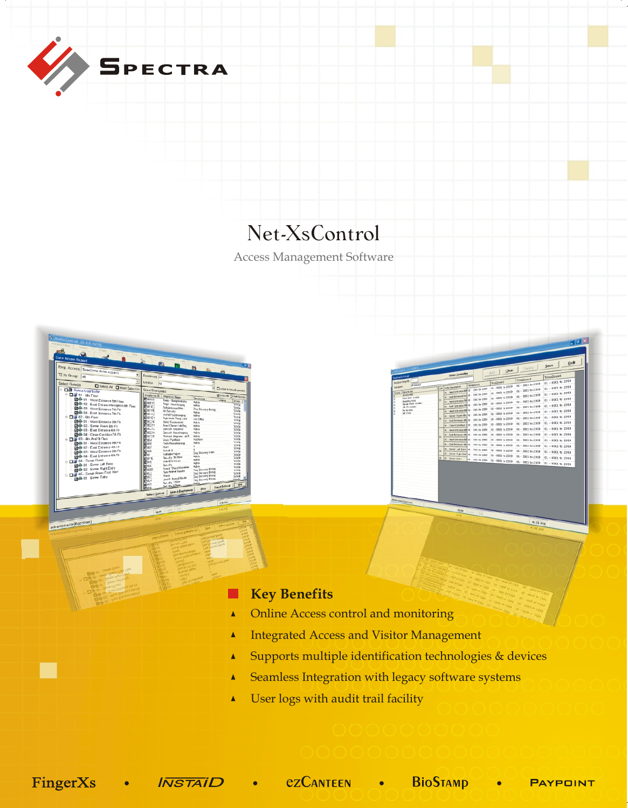

## Net-XsControl

Access Management Software



**Tale** 

|                                           |                         |                                                                                       |                   |                                        |                                    | Save              | Quit |
|-------------------------------------------|-------------------------|---------------------------------------------------------------------------------------|-------------------|----------------------------------------|------------------------------------|-------------------|------|
| <b>Channel State Read</b>                 |                         |                                                                                       |                   | Clear<br>Add                           | Delete                             |                   |      |
| <b>Advertision of Concepts</b>            |                         | <b>Select Controller</b>                                                              |                   |                                        |                                    | TimeZcae4         |      |
| million Ceng Hb.<br>All Alowed            |                         |                                                                                       | TimeZone L        | TimeZone2                              | Time2cae3<br>$01 - 2001$ to $2359$ | C1 - 0001 to 2359 |      |
| <b>PODS</b>                               |                         | rab Gate Cescaption<br>81 - West Entrance (80 01 - 330), by 2359                      |                   | c1 - 0003 to 2359                      | 01 - 0001 to 2359                  | C1 - 0301 to 2359 |      |
| <b>Despite jur</b><br>oye.<br>All Alcyred |                         | 62 - East Entrance/Hd 01 - 3311, by 2353                                              |                   | $01 - 0001 \approx 2359$               | 01 - 0001 to 2359                  | C1 - 0001 to 2359 |      |
| <b>Han Door Access</b><br>Breading Area   | lхı                     | 43 - West Entrance 20 01 - 330, to 2359                                               |                   | 01 - 0001 to 2359                      | 01 - 0001 to 2359                  | C1 - 0001 to 2359 |      |
| tiener form Accept<br>TO FE ALCOHOL       |                         | or - Evit Entrance 70 (d) - 330; by 2353                                              |                   | c1 - 0001 to 2359<br>c1 - 0001 to 2359 | 01 - 1001 to 2359                  | £1 - 0001 to 2359 |      |
| No Access<br>op row                       |                         | 61 - West Entrence del 61 - 330; by 2359                                              |                   | (d - 0003 to 2359                      | 01 - 1001 to 2359                  | C1 - 00C1 to 2359 |      |
|                                           | 32                      | 42 - Server Rasen 6th 03 - 330; to 2363<br>42 - Exit Evyster (#141 - 330), to 2359    |                   | 01 - 0001 to 2359                      | 01 - DOC1 to 2359                  | 01 - 0001 to 2059 |      |
|                                           |                         | 64 - Cean Corridaor 201 - 330; to 2353                                                |                   | ct - 0001 to 2359                      | 01 - DOC1 to 2359                  | 01 - 0301 to 2359 |      |
|                                           |                         | 41 - west tytratics 489 61 - 3301 by 2353                                             |                   | 01 - 0001 to 2359                      | 01 - DOC1 to 2359                  | £1 - 0301 to 2359 |      |
|                                           | l ss                    | 62 - Furd Entrance 48N 61 - 3301 to 2353                                              |                   | 01 - 0001 to 2359                      | 01 - DOC1 to 2359                  | 01 - 0301 to 2359 |      |
|                                           |                         | 65 - West Entrance 980 61 - 3301, by 2353-                                            |                   | 6315 or £300 - £3                      | 01 - DOC1 to 2359                  | 01 - 0001 to 2359 |      |
|                                           |                         | 64 - Carl Entrance 100 03 - 330; to 2368<br>41 - Server Left Entry 01 - 330; to 2353- |                   | 01 - 0001 to 2369                      | 01 - DOC1 to 2359                  | 01 - 0001 to 2359 |      |
|                                           | $\overline{\mathbf{z}}$ | 62 - Servar Right Entr 03 - 3001 to 2369                                              |                   | 01 - 0001 to 2359<br>01 - 0001 to 2359 | 01 - DOC1 to 2359                  | 01 - 0001 to 2359 |      |
|                                           | ×                       | 41 - Server Saley                                                                     | 01 - 330, to 2353 | 01 - 0001 to 2359                      | 01 - DOC1 to 2359                  | 01 - 0001 to 2359 |      |
|                                           |                         |                                                                                       |                   |                                        | 01 - DOC1 to 2359                  | 01 - 0001 to 2359 |      |
|                                           |                         |                                                                                       |                   |                                        |                                    |                   |      |
|                                           |                         |                                                                                       |                   |                                        |                                    |                   |      |
|                                           |                         |                                                                                       |                   |                                        |                                    |                   |      |
|                                           |                         |                                                                                       |                   |                                        |                                    |                   |      |

488

## **Key Benefits**m

- Online Access control and monitoring  $\blacktriangle$
- Integrated Access and Visitor Management  $\blacktriangle$
- Supports multiple identification technologies & devices  $\blacktriangle$
- Seamless Integration with legacy software systems  $\blacktriangle$
- User logs with audit trail facility  $\blacktriangle$

ezCanteen • BioStamp FingerXs **INSTAID Contract Contract Contract**  $\bullet$  . The set of  $\bullet$ **PAYPOINT**